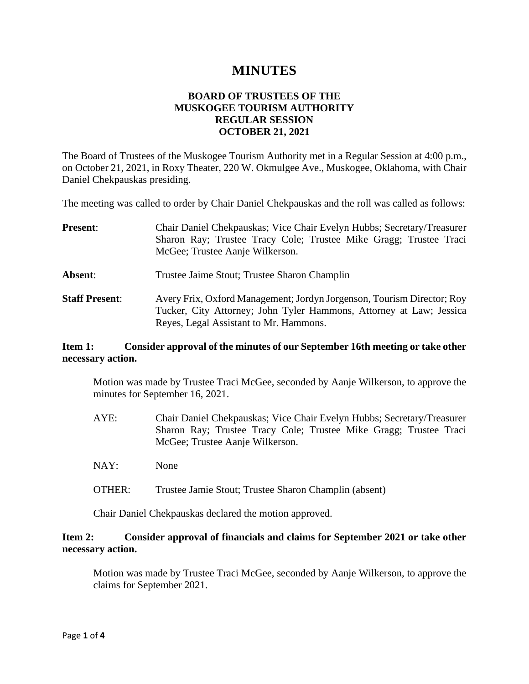# **MINUTES**

# **BOARD OF TRUSTEES OF THE MUSKOGEE TOURISM AUTHORITY REGULAR SESSION OCTOBER 21, 2021**

The Board of Trustees of the Muskogee Tourism Authority met in a Regular Session at 4:00 p.m., on October 21, 2021, in Roxy Theater, 220 W. Okmulgee Ave., Muskogee, Oklahoma, with Chair Daniel Chekpauskas presiding.

The meeting was called to order by Chair Daniel Chekpauskas and the roll was called as follows:

| <b>Present:</b>       | Chair Daniel Chekpauskas; Vice Chair Evelyn Hubbs; Secretary/Treasurer                                                                        |
|-----------------------|-----------------------------------------------------------------------------------------------------------------------------------------------|
|                       | Sharon Ray; Trustee Tracy Cole; Trustee Mike Gragg; Trustee Traci                                                                             |
|                       | McGee; Trustee Aanje Wilkerson.                                                                                                               |
| Absent:               | Trustee Jaime Stout; Trustee Sharon Champlin                                                                                                  |
| <b>Staff Present:</b> | Avery Frix, Oxford Management; Jordyn Jorgenson, Tourism Director; Roy<br>Tucker, City Attorney; John Tyler Hammons, Attorney at Law; Jessica |
|                       | Reyes, Legal Assistant to Mr. Hammons.                                                                                                        |

# **Item 1: Consider approval of the minutes of our September 16th meeting or take other necessary action.**

Motion was made by Trustee Traci McGee, seconded by Aanje Wilkerson, to approve the minutes for September 16, 2021.

- AYE: Chair Daniel Chekpauskas; Vice Chair Evelyn Hubbs; Secretary/Treasurer Sharon Ray; Trustee Tracy Cole; Trustee Mike Gragg; Trustee Traci McGee; Trustee Aanje Wilkerson.
- NAY: None
- OTHER: Trustee Jamie Stout; Trustee Sharon Champlin (absent)

Chair Daniel Chekpauskas declared the motion approved.

# **Item 2: Consider approval of financials and claims for September 2021 or take other necessary action.**

Motion was made by Trustee Traci McGee, seconded by Aanje Wilkerson, to approve the claims for September 2021.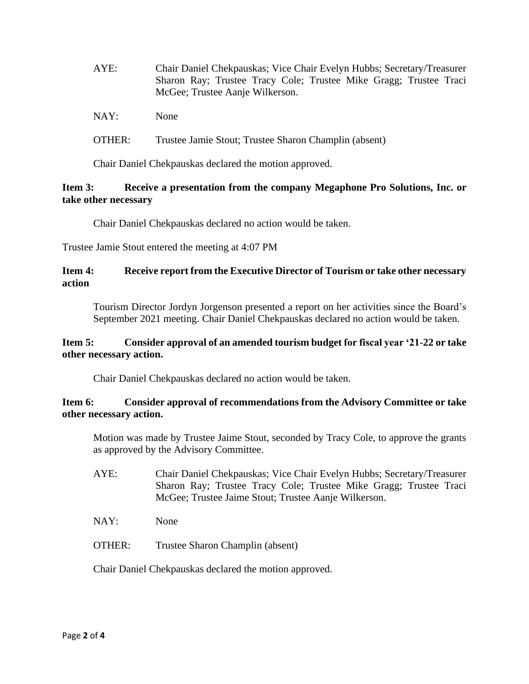| AYE: | Chair Daniel Chekpauskas; Vice Chair Evelyn Hubbs; Secretary/Treasurer |
|------|------------------------------------------------------------------------|
|      | Sharon Ray; Trustee Tracy Cole; Trustee Mike Gragg; Trustee Traci      |
|      | McGee; Trustee Aanje Wilkerson.                                        |
| NAY: | <b>None</b>                                                            |

OTHER: Trustee Jamie Stout; Trustee Sharon Champlin (absent)

Chair Daniel Chekpauskas declared the motion approved.

# **Item 3: Receive a presentation from the company Megaphone Pro Solutions, Inc. or take other necessary**

Chair Daniel Chekpauskas declared no action would be taken.

Trustee Jamie Stout entered the meeting at 4:07 PM

# **Item 4: Receive report from the Executive Director of Tourism or take other necessary action**

Tourism Director Jordyn Jorgenson presented a report on her activities since the Board's September 2021 meeting. Chair Daniel Chekpauskas declared no action would be taken.

# **Item 5: Consider approval of an amended tourism budget for fiscal year '21-22 or take other necessary action.**

Chair Daniel Chekpauskas declared no action would be taken.

# **Item 6: Consider approval of recommendations from the Advisory Committee or take other necessary action.**

Motion was made by Trustee Jaime Stout, seconded by Tracy Cole, to approve the grants as approved by the Advisory Committee.

- AYE: Chair Daniel Chekpauskas; Vice Chair Evelyn Hubbs; Secretary/Treasurer Sharon Ray; Trustee Tracy Cole; Trustee Mike Gragg; Trustee Traci McGee; Trustee Jaime Stout; Trustee Aanje Wilkerson.
- NAY: None
- OTHER: Trustee Sharon Champlin (absent)

Chair Daniel Chekpauskas declared the motion approved.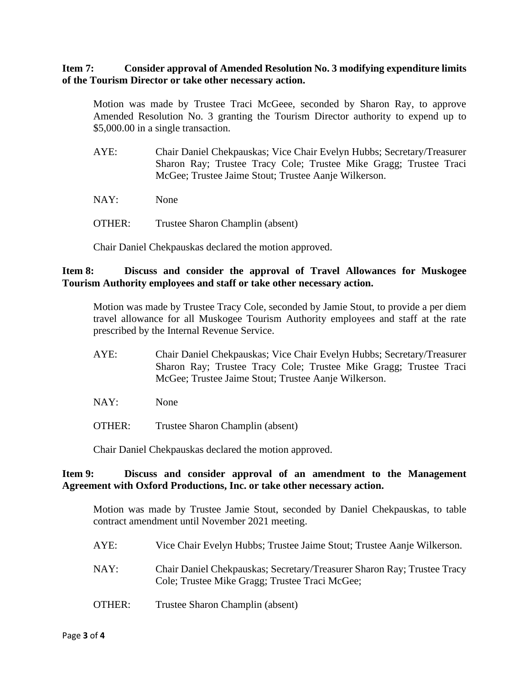### **Item 7: Consider approval of Amended Resolution No. 3 modifying expenditure limits of the Tourism Director or take other necessary action.**

Motion was made by Trustee Traci McGeee, seconded by Sharon Ray, to approve Amended Resolution No. 3 granting the Tourism Director authority to expend up to \$5,000.00 in a single transaction.

- AYE: Chair Daniel Chekpauskas; Vice Chair Evelyn Hubbs; Secretary/Treasurer Sharon Ray; Trustee Tracy Cole; Trustee Mike Gragg; Trustee Traci McGee; Trustee Jaime Stout; Trustee Aanje Wilkerson.
- NAY: None
- OTHER: Trustee Sharon Champlin (absent)

Chair Daniel Chekpauskas declared the motion approved.

### **Item 8: Discuss and consider the approval of Travel Allowances for Muskogee Tourism Authority employees and staff or take other necessary action.**

Motion was made by Trustee Tracy Cole, seconded by Jamie Stout, to provide a per diem travel allowance for all Muskogee Tourism Authority employees and staff at the rate prescribed by the Internal Revenue Service.

- AYE: Chair Daniel Chekpauskas; Vice Chair Evelyn Hubbs; Secretary/Treasurer Sharon Ray; Trustee Tracy Cole; Trustee Mike Gragg; Trustee Traci McGee; Trustee Jaime Stout; Trustee Aanje Wilkerson.
- NAY: None
- OTHER: Trustee Sharon Champlin (absent)

Chair Daniel Chekpauskas declared the motion approved.

#### **Item 9: Discuss and consider approval of an amendment to the Management Agreement with Oxford Productions, Inc. or take other necessary action.**

Motion was made by Trustee Jamie Stout, seconded by Daniel Chekpauskas, to table contract amendment until November 2021 meeting.

- AYE: Vice Chair Evelyn Hubbs; Trustee Jaime Stout; Trustee Aanje Wilkerson.
- NAY: Chair Daniel Chekpauskas; Secretary/Treasurer Sharon Ray; Trustee Tracy Cole; Trustee Mike Gragg; Trustee Traci McGee;
- OTHER: Trustee Sharon Champlin (absent)